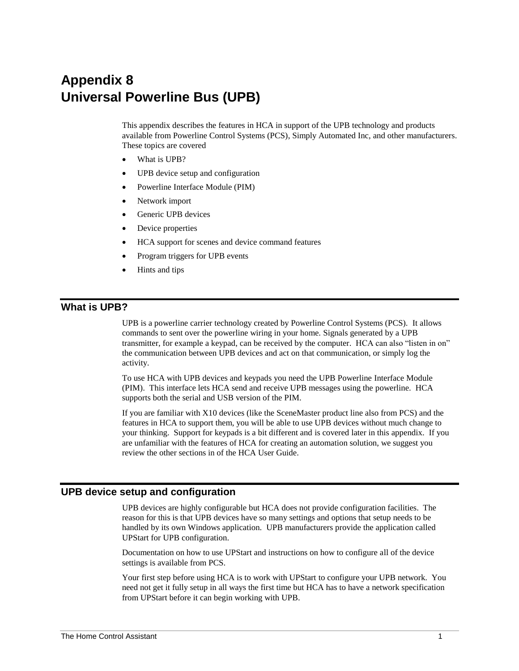# **Appendix 8 Universal Powerline Bus (UPB)**

This appendix describes the features in HCA in support of the UPB technology and products available from Powerline Control Systems (PCS), Simply Automated Inc, and other manufacturers. These topics are covered

- What is UPB?
- UPB device setup and configuration
- Powerline Interface Module (PIM)
- Network import
- Generic UPB devices
- Device properties
- HCA support for scenes and device command features
- Program triggers for UPB events
- Hints and tips

# **What is UPB?**

UPB is a powerline carrier technology created by Powerline Control Systems (PCS). It allows commands to sent over the powerline wiring in your home. Signals generated by a UPB transmitter, for example a keypad, can be received by the computer. HCA can also "listen in on" the communication between UPB devices and act on that communication, or simply log the activity.

To use HCA with UPB devices and keypads you need the UPB Powerline Interface Module (PIM). This interface lets HCA send and receive UPB messages using the powerline. HCA supports both the serial and USB version of the PIM.

If you are familiar with X10 devices (like the SceneMaster product line also from PCS) and the features in HCA to support them, you will be able to use UPB devices without much change to your thinking. Support for keypads is a bit different and is covered later in this appendix. If you are unfamiliar with the features of HCA for creating an automation solution, we suggest you review the other sections in of the HCA User Guide.

# **UPB device setup and configuration**

UPB devices are highly configurable but HCA does not provide configuration facilities. The reason for this is that UPB devices have so many settings and options that setup needs to be handled by its own Windows application. UPB manufacturers provide the application called UPStart for UPB configuration.

Documentation on how to use UPStart and instructions on how to configure all of the device settings is available from PCS.

Your first step before using HCA is to work with UPStart to configure your UPB network. You need not get it fully setup in all ways the first time but HCA has to have a network specification from UPStart before it can begin working with UPB.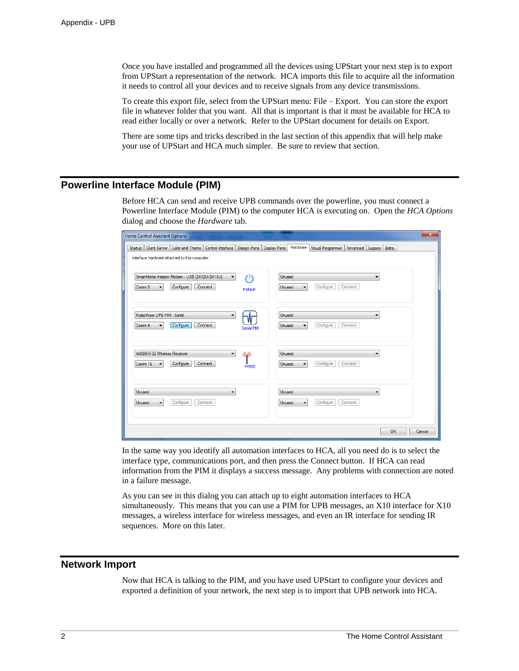Once you have installed and programmed all the devices using UPStart your next step is to export from UPStart a representation of the network. HCA imports this file to acquire all the information it needs to control all your devices and to receive signals from any device transmissions.

To create this export file, select from the UPStart menu: File – Export. You can store the export file in whatever folder that you want. All that is important is that it must be available for HCA to read either locally or over a network. Refer to the UPStart document for details on Export.

There are some tips and tricks described in the last section of this appendix that will help make your use of UPStart and HCA much simpler. Be sure to review that section.

# **Powerline Interface Module (PIM)**

Before HCA can send and receive UPB commands over the powerline, you must connect a Powerline Interface Module (PIM) to the computer HCA is executing on. Open the *HCA Options* dialog and choose the *Hardware* tab.

| Home Control Assistant Options                                                                                                                                | $\mathbf x$                                                                      |
|---------------------------------------------------------------------------------------------------------------------------------------------------------------|----------------------------------------------------------------------------------|
| Client Server   Color and Theme<br>Control Interface   Design Pane   Display Pane  <br><b>Startup</b><br>Interface hardware attached to this computer:        | Hardware<br>Visual Programmer   Advanced   Legacy<br>Extra                       |
| SmartHome Insteon Modem - USB (2412U/2413U)<br>11<br>$\blacktriangledown$<br>Configure<br>Connect<br>Comm <sub>5</sub><br>$\overline{\phantom{a}}$<br>Instean | <b>Unused</b><br>▼<br>Configure<br>Connect<br>Unused<br>$\overline{\phantom{a}}$ |
| PulseWorx UPB PIM - Serial<br>▼<br>Configure<br>Connect<br>Comm 9<br>Serial PIM                                                                               | Unused<br>Configure<br>Connect<br>Unused                                         |
| W800RF32 Wireless Receiver<br>« »<br>$\overline{\phantom{a}}$<br>Connect<br>Configure<br>Comm 16<br><b>W800</b>                                               | Unused<br>Configure<br>Connect<br>Unused<br>$\overline{\phantom{0}}$             |
| Unused<br>-<br>Configure<br>Connect<br>Unused                                                                                                                 | Unused<br>-<br>Configure<br>Connect<br>Unused                                    |
|                                                                                                                                                               | OK<br>Cancel                                                                     |

In the same way you identify all automation interfaces to HCA, all you need do is to select the interface type, communications port, and then press the Connect button. If HCA can read information from the PIM it displays a success message. Any problems with connection are noted in a failure message.

As you can see in this dialog you can attach up to eight automation interfaces to HCA simultaneously. This means that you can use a PIM for UPB messages, an X10 interface for X10 messages, a wireless interface for wireless messages, and even an IR interface for sending IR sequences. More on this later.

## **Network Import**

Now that HCA is talking to the PIM, and you have used UPStart to configure your devices and exported a definition of your network, the next step is to import that UPB network into HCA.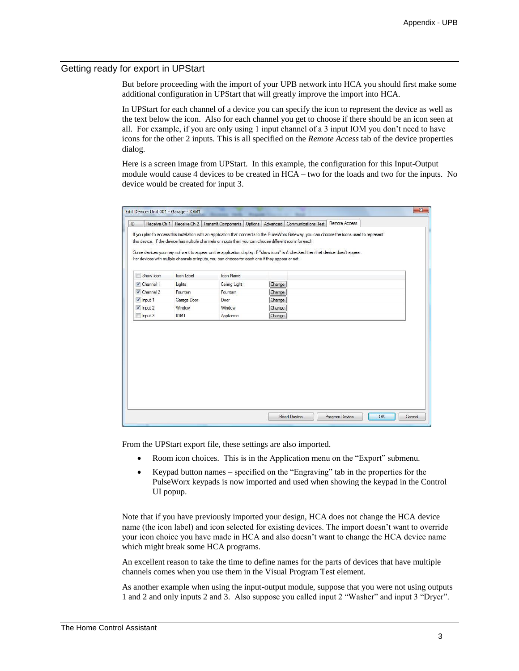#### Getting ready for export in UPStart

But before proceeding with the import of your UPB network into HCA you should first make some additional configuration in UPStart that will greatly improve the import into HCA.

In UPStart for each channel of a device you can specify the icon to represent the device as well as the text below the icon. Also for each channel you get to choose if there should be an icon seen at all. For example, if you are only using 1 input channel of a 3 input IOM you don't need to have icons for the other 2 inputs. This is all specified on the *Remote Access* tab of the device properties dialog.

Here is a screen image from UPStart. In this example, the configuration for this Input-Output module would cause 4 devices to be created in HCA – two for the loads and two for the inputs. No device would be created for input 3.

| Edit Device: Unit 001 - Garage - IOM1 |                  |                                                                                                                                                                                                             |        |                                                                                                                                  |                                                                                                                                                |        |
|---------------------------------------|------------------|-------------------------------------------------------------------------------------------------------------------------------------------------------------------------------------------------------------|--------|----------------------------------------------------------------------------------------------------------------------------------|------------------------------------------------------------------------------------------------------------------------------------------------|--------|
| Receive Ch 1                          | Receive Ch 2     | Transmit Components   Options   Advanced                                                                                                                                                                    |        | <b>Communications Test</b>                                                                                                       | Remote Access                                                                                                                                  |        |
|                                       |                  | this device. If the device has multiple channels or inputs then you can choose different icons for each.<br>For devices with muliple channels or inputs, you can choose for each one if they appear or not. |        | Some devices you may not want to appear on the application display. If "show icon" isn't checked then that device does't appear. | If you plan to access this installation with an application that connects to the PulseWorx Gateway, you can choose the icons used to represent |        |
| Show Icon<br>Г                        | Icon Label       | Icon Name                                                                                                                                                                                                   |        |                                                                                                                                  |                                                                                                                                                |        |
| V Channel 1                           | Lights           | Ceiling Light                                                                                                                                                                                               | Change |                                                                                                                                  |                                                                                                                                                |        |
| $\triangledown$ Channel 2             | Fountain         | Fountain                                                                                                                                                                                                    | Change |                                                                                                                                  |                                                                                                                                                |        |
| $\sqrt{$ Input 1                      | Garage Door      | Door                                                                                                                                                                                                        | Change |                                                                                                                                  |                                                                                                                                                |        |
| $\sqrt{$ Input 2                      | Window           | Window                                                                                                                                                                                                      | Change |                                                                                                                                  |                                                                                                                                                |        |
| $\n  Input 3\n$                       | IOM <sub>1</sub> | Appliance                                                                                                                                                                                                   | Change |                                                                                                                                  |                                                                                                                                                |        |
|                                       |                  |                                                                                                                                                                                                             |        |                                                                                                                                  |                                                                                                                                                |        |
|                                       |                  |                                                                                                                                                                                                             |        | <b>Read Device</b>                                                                                                               | OK<br>Program Device                                                                                                                           | Cancel |

From the UPStart export file, these settings are also imported.

- Room icon choices. This is in the Application menu on the "Export" submenu.
- Keypad button names specified on the "Engraving" tab in the properties for the PulseWorx keypads is now imported and used when showing the keypad in the Control UI popup.

Note that if you have previously imported your design, HCA does not change the HCA device name (the icon label) and icon selected for existing devices. The import doesn't want to override your icon choice you have made in HCA and also doesn't want to change the HCA device name which might break some HCA programs.

An excellent reason to take the time to define names for the parts of devices that have multiple channels comes when you use them in the Visual Program Test element.

As another example when using the input-output module, suppose that you were not using outputs 1 and 2 and only inputs 2 and 3. Also suppose you called input 2 "Washer" and input 3 "Dryer".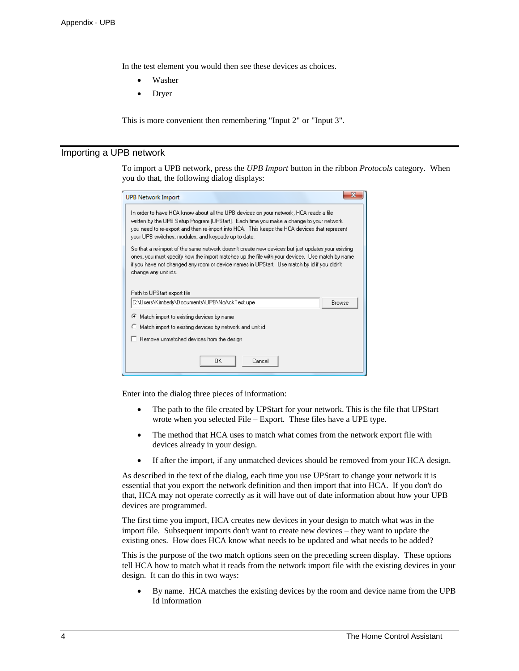In the test element you would then see these devices as choices.

- Washer
- Dryer

This is more convenient then remembering "Input 2" or "Input 3".

#### Importing a UPB network

To import a UPB network, press the *UPB Import* button in the ribbon *Protocols* category. When you do that, the following dialog displays:

| <b>UPB Network Import</b>                                                                                                                                                                                                                                                                                                                                |               |  |  |  |  |
|----------------------------------------------------------------------------------------------------------------------------------------------------------------------------------------------------------------------------------------------------------------------------------------------------------------------------------------------------------|---------------|--|--|--|--|
| In order to have HCA know about all the UPB devices on your network, HCA reads a file.<br>written by the UPB Setup Program (UPStart). Each time you make a change to your network.<br>you need to re-export and then re-import into HCA. This keeps the HCA devices that represent<br>your UPB switches, modules, and keypads up to date.                |               |  |  |  |  |
| So that a re-import of the same network doesn't create new devices but just updates your existing<br>ones, you must specify how the import matches up the file with your devices. Use match by name<br>if you have not changed any room or device names in UPStart. Use match by id if you didn't<br>change any unit ids.<br>Path to UPStart export file |               |  |  |  |  |
| C:\Users\Kimberly\Documents\UPB\NaAckTest.upe                                                                                                                                                                                                                                                                                                            | <b>Browse</b> |  |  |  |  |
| Match import to existing devices by name                                                                                                                                                                                                                                                                                                                 |               |  |  |  |  |
| $\heartsuit$ Match import to existing devices by network and unit id                                                                                                                                                                                                                                                                                     |               |  |  |  |  |
| $\Box$ Remove unmatched devices from the design                                                                                                                                                                                                                                                                                                          |               |  |  |  |  |
| ΠK<br>Cancel                                                                                                                                                                                                                                                                                                                                             |               |  |  |  |  |

Enter into the dialog three pieces of information:

- The path to the file created by UPStart for your network. This is the file that UPStart wrote when you selected File – Export. These files have a UPE type.
- The method that HCA uses to match what comes from the network export file with devices already in your design.
- If after the import, if any unmatched devices should be removed from your HCA design.

As described in the text of the dialog, each time you use UPStart to change your network it is essential that you export the network definition and then import that into HCA. If you don't do that, HCA may not operate correctly as it will have out of date information about how your UPB devices are programmed.

The first time you import, HCA creates new devices in your design to match what was in the import file. Subsequent imports don't want to create new devices – they want to update the existing ones. How does HCA know what needs to be updated and what needs to be added?

This is the purpose of the two match options seen on the preceding screen display. These options tell HCA how to match what it reads from the network import file with the existing devices in your design. It can do this in two ways:

• By name. HCA matches the existing devices by the room and device name from the UPB Id information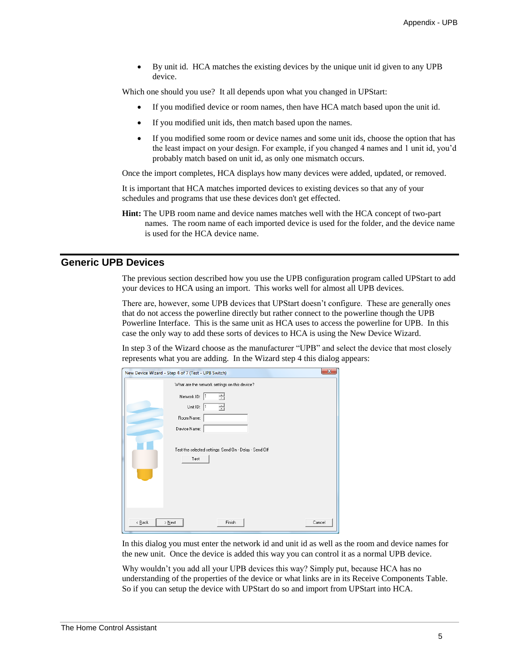• By unit id. HCA matches the existing devices by the unique unit id given to any UPB device.

Which one should you use? It all depends upon what you changed in UPStart:

- If you modified device or room names, then have HCA match based upon the unit id.
- If you modified unit ids, then match based upon the names.
- If you modified some room or device names and some unit ids, choose the option that has the least impact on your design. For example, if you changed 4 names and 1 unit id, you'd probably match based on unit id, as only one mismatch occurs.

Once the import completes, HCA displays how many devices were added, updated, or removed.

It is important that HCA matches imported devices to existing devices so that any of your schedules and programs that use these devices don't get effected.

**Hint:** The UPB room name and device names matches well with the HCA concept of two-part names. The room name of each imported device is used for the folder, and the device name is used for the HCA device name.

#### **Generic UPB Devices**

The previous section described how you use the UPB configuration program called UPStart to add your devices to HCA using an import. This works well for almost all UPB devices.

There are, however, some UPB devices that UPStart doesn't configure. These are generally ones that do not access the powerline directly but rather connect to the powerline though the UPB Powerline Interface. This is the same unit as HCA uses to access the powerline for UPB. In this case the only way to add these sorts of devices to HCA is using the New Device Wizard.

In step 3 of the Wizard choose as the manufacturer "UPB" and select the device that most closely represents what you are adding. In the Wizard step 4 this dialog appears:

|             | New Device Wizard - Step 4 of 7 (Test - UPB Switch)       |                                                         | $\mathbf{x}$ |
|-------------|-----------------------------------------------------------|---------------------------------------------------------|--------------|
|             | Network ID: 1<br>Unit ID: 1<br>Room Name:<br>Device Name: | What are the network settings on this device?<br>₹<br>릨 |              |
|             | Test                                                      | Test the selected settings: Send On - Delay - Send Off  |              |
| $\leq$ Back | $>$ Next                                                  | Finish                                                  | Cancel       |

In this dialog you must enter the network id and unit id as well as the room and device names for the new unit. Once the device is added this way you can control it as a normal UPB device.

Why wouldn't you add all your UPB devices this way? Simply put, because HCA has no understanding of the properties of the device or what links are in its Receive Components Table. So if you can setup the device with UPStart do so and import from UPStart into HCA.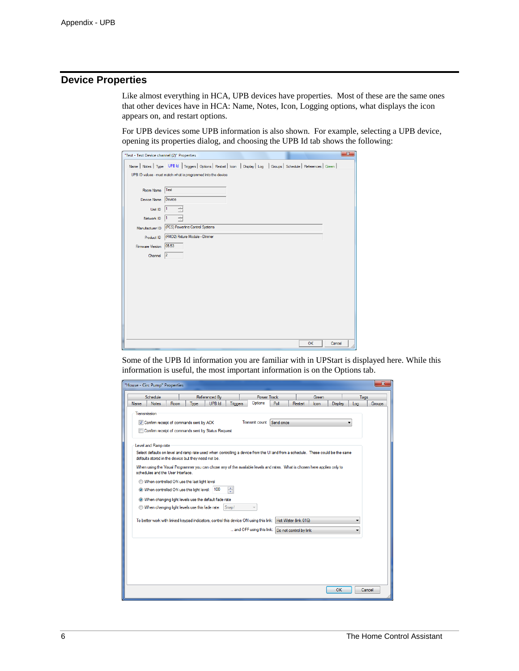# **Device Properties**

Like almost everything in HCA, UPB devices have properties. Most of these are the same ones that other devices have in HCA: Name, Notes, Icon, Logging options, what displays the icon appears on, and restart options.

For UPB devices some UPB information is also shown. For example, selecting a UPB device, opening its properties dialog, and choosing the UPB Id tab shows the following:

| Name Notes Type UPB Id Triggers Options Restart I Icon Display Log Groups Schedule References Green<br>UPB ID values - must match what is programmed into the device<br>Test<br>Room Name<br>Device<br>Device Name<br>Unit ID<br>Network ID<br>(PCS) Powerline Control Systems<br>Manufacturer ID<br>(FMD2) Fixture Module - Dimmer<br>Product ID<br> 05.53 <br>Firmware Version<br> 2 <br>Channel |
|----------------------------------------------------------------------------------------------------------------------------------------------------------------------------------------------------------------------------------------------------------------------------------------------------------------------------------------------------------------------------------------------------|
|                                                                                                                                                                                                                                                                                                                                                                                                    |
|                                                                                                                                                                                                                                                                                                                                                                                                    |
|                                                                                                                                                                                                                                                                                                                                                                                                    |
|                                                                                                                                                                                                                                                                                                                                                                                                    |
|                                                                                                                                                                                                                                                                                                                                                                                                    |
|                                                                                                                                                                                                                                                                                                                                                                                                    |
|                                                                                                                                                                                                                                                                                                                                                                                                    |
|                                                                                                                                                                                                                                                                                                                                                                                                    |
|                                                                                                                                                                                                                                                                                                                                                                                                    |
|                                                                                                                                                                                                                                                                                                                                                                                                    |
|                                                                                                                                                                                                                                                                                                                                                                                                    |
|                                                                                                                                                                                                                                                                                                                                                                                                    |
|                                                                                                                                                                                                                                                                                                                                                                                                    |
|                                                                                                                                                                                                                                                                                                                                                                                                    |
|                                                                                                                                                                                                                                                                                                                                                                                                    |
|                                                                                                                                                                                                                                                                                                                                                                                                    |
|                                                                                                                                                                                                                                                                                                                                                                                                    |
|                                                                                                                                                                                                                                                                                                                                                                                                    |
| Cancel<br><b>OK</b>                                                                                                                                                                                                                                                                                                                                                                                |

Some of the UPB Id information you are familiar with in UPStart is displayed here. While this information is useful, the most important information is on the Options tab.

|              | Schedule            |                                   |                                                      | Referenced By |                 |                                                                                                                                | <b>Power Track</b> |                | Green |         | Tags |        |
|--------------|---------------------|-----------------------------------|------------------------------------------------------|---------------|-----------------|--------------------------------------------------------------------------------------------------------------------------------|--------------------|----------------|-------|---------|------|--------|
| <b>Name</b>  | <b>Notes</b>        | <b>Room</b>                       | <b>Type</b>                                          | <b>UPB</b> Id | <b>Triggers</b> | Options                                                                                                                        | Poll               | <b>Restart</b> | Icon  | Display | Log  | Groups |
| Transmission |                     |                                   |                                                      |               |                 |                                                                                                                                |                    |                |       |         |      |        |
|              |                     |                                   | Confirm receipt of commands sent by ACK              |               |                 | Transmit count                                                                                                                 | Send once          |                |       |         |      |        |
|              |                     |                                   | Confirm receipt of commands sent by Status Request   |               |                 |                                                                                                                                |                    |                |       |         |      |        |
|              |                     |                                   |                                                      |               |                 |                                                                                                                                |                    |                |       |         |      |        |
|              | Level and Ramp rate |                                   |                                                      |               |                 |                                                                                                                                |                    |                |       |         |      |        |
|              |                     |                                   |                                                      |               |                 | Select defaults on level and ramp rate used when controlling a device from the UI and from a schedule. These could be the same |                    |                |       |         |      |        |
|              |                     |                                   | defaults stored in the device but they need not be.  |               |                 |                                                                                                                                |                    |                |       |         |      |        |
|              |                     |                                   |                                                      |               |                 | When using the Visual Programmer you can chose any of the available levels and rates. What is chosen here applies only to      |                    |                |       |         |      |        |
|              |                     | schedules and the User Interface. |                                                      |               |                 |                                                                                                                                |                    |                |       |         |      |        |
|              |                     |                                   | When controlled ON use the last light level          |               |                 |                                                                                                                                |                    |                |       |         |      |        |
|              |                     |                                   | When controlled ON use this light level: 100         |               | $\frac{1}{x}$   |                                                                                                                                |                    |                |       |         |      |        |
|              |                     |                                   | When changing light levels use the default fade rate |               |                 |                                                                                                                                |                    |                |       |         |      |        |
|              |                     |                                   | When changing light levels use this fade rate:       |               | Snap!           |                                                                                                                                |                    |                |       |         |      |        |
|              |                     |                                   |                                                      |               |                 |                                                                                                                                |                    |                |       |         |      |        |
|              |                     |                                   |                                                      |               |                 | To better work with linked keypad indicators, control this device ON using this link: Hot Water (link 016)                     |                    |                |       |         |      |        |
|              |                     |                                   |                                                      |               |                 | and OFF using this link: Do not control by link                                                                                |                    |                |       |         | ▼    |        |
|              |                     |                                   |                                                      |               |                 |                                                                                                                                |                    |                |       |         |      |        |
|              |                     |                                   |                                                      |               |                 |                                                                                                                                |                    |                |       |         |      |        |
|              |                     |                                   |                                                      |               |                 |                                                                                                                                |                    |                |       |         |      |        |
|              |                     |                                   |                                                      |               |                 |                                                                                                                                |                    |                |       |         |      |        |
|              |                     |                                   |                                                      |               |                 |                                                                                                                                |                    |                |       |         |      |        |
|              |                     |                                   |                                                      |               |                 |                                                                                                                                |                    |                |       |         |      |        |
|              |                     |                                   |                                                      |               |                 |                                                                                                                                |                    |                |       |         |      |        |
|              |                     |                                   |                                                      |               |                 |                                                                                                                                |                    |                |       |         |      |        |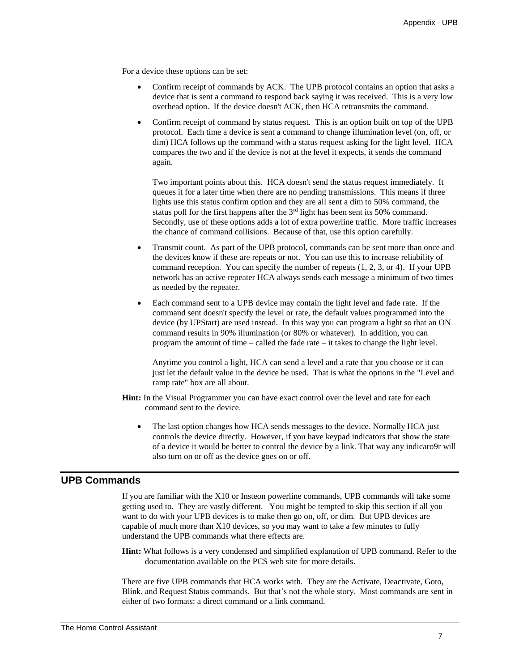For a device these options can be set:

- Confirm receipt of commands by ACK. The UPB protocol contains an option that asks a device that is sent a command to respond back saying it was received. This is a very low overhead option. If the device doesn't ACK, then HCA retransmits the command.
- Confirm receipt of command by status request. This is an option built on top of the UPB protocol. Each time a device is sent a command to change illumination level (on, off, or dim) HCA follows up the command with a status request asking for the light level. HCA compares the two and if the device is not at the level it expects, it sends the command again.

Two important points about this. HCA doesn't send the status request immediately. It queues it for a later time when there are no pending transmissions. This means if three lights use this status confirm option and they are all sent a dim to 50% command, the status poll for the first happens after the 3rd light has been sent its 50% command. Secondly, use of these options adds a lot of extra powerline traffic. More traffic increases the chance of command collisions. Because of that, use this option carefully.

- Transmit count. As part of the UPB protocol, commands can be sent more than once and the devices know if these are repeats or not. You can use this to increase reliability of command reception. You can specify the number of repeats (1, 2, 3, or 4). If your UPB network has an active repeater HCA always sends each message a minimum of two times as needed by the repeater.
- Each command sent to a UPB device may contain the light level and fade rate. If the command sent doesn't specify the level or rate, the default values programmed into the device (by UPStart) are used instead. In this way you can program a light so that an ON command results in 90% illumination (or 80% or whatever). In addition, you can program the amount of time – called the fade rate – it takes to change the light level.

Anytime you control a light, HCA can send a level and a rate that you choose or it can just let the default value in the device be used. That is what the options in the "Level and ramp rate" box are all about.

- **Hint:** In the Visual Programmer you can have exact control over the level and rate for each command sent to the device.
	- The last option changes how HCA sends messages to the device. Normally HCA just controls the device directly. However, if you have keypad indicators that show the state of a device it would be better to control the device by a link. That way any indicaro9r will also turn on or off as the device goes on or off.

# **UPB Commands**

If you are familiar with the X10 or Insteon powerline commands, UPB commands will take some getting used to. They are vastly different. You might be tempted to skip this section if all you want to do with your UPB devices is to make then go on, off, or dim. But UPB devices are capable of much more than X10 devices, so you may want to take a few minutes to fully understand the UPB commands what there effects are.

**Hint:** What follows is a very condensed and simplified explanation of UPB command. Refer to the documentation available on the PCS web site for more details.

There are five UPB commands that HCA works with. They are the Activate, Deactivate, Goto, Blink, and Request Status commands. But that's not the whole story. Most commands are sent in either of two formats: a direct command or a link command.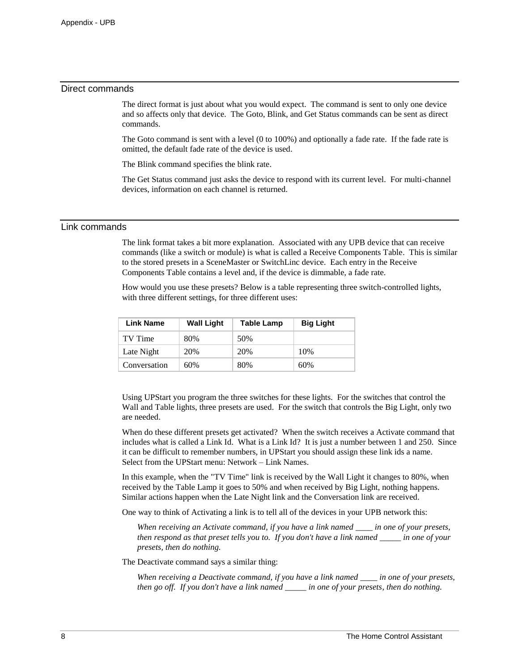#### Direct commands

The direct format is just about what you would expect. The command is sent to only one device and so affects only that device. The Goto, Blink, and Get Status commands can be sent as direct commands.

The Goto command is sent with a level (0 to 100%) and optionally a fade rate. If the fade rate is omitted, the default fade rate of the device is used.

The Blink command specifies the blink rate.

The Get Status command just asks the device to respond with its current level. For multi-channel devices, information on each channel is returned.

#### Link commands

The link format takes a bit more explanation. Associated with any UPB device that can receive commands (like a switch or module) is what is called a Receive Components Table. This is similar to the stored presets in a SceneMaster or SwitchLinc device. Each entry in the Receive Components Table contains a level and, if the device is dimmable, a fade rate.

How would you use these presets? Below is a table representing three switch-controlled lights, with three different settings, for three different uses:

| Link Name    | <b>Wall Light</b> | Table Lamp | <b>Big Light</b> |
|--------------|-------------------|------------|------------------|
| TV Time      | 80%               | 50%        |                  |
| Late Night   | 20%               | 20%        | 10%              |
| Conversation | 60%               | 80%        | 60%              |

Using UPStart you program the three switches for these lights. For the switches that control the Wall and Table lights, three presets are used. For the switch that controls the Big Light, only two are needed.

When do these different presets get activated? When the switch receives a Activate command that includes what is called a Link Id. What is a Link Id? It is just a number between 1 and 250. Since it can be difficult to remember numbers, in UPStart you should assign these link ids a name. Select from the UPStart menu: Network – Link Names.

In this example, when the "TV Time" link is received by the Wall Light it changes to 80%, when received by the Table Lamp it goes to 50% and when received by Big Light, nothing happens. Similar actions happen when the Late Night link and the Conversation link are received.

One way to think of Activating a link is to tell all of the devices in your UPB network this:

*When receiving an Activate command, if you have a link named \_\_\_\_ in one of your presets, then respond as that preset tells you to. If you don't have a link named \_\_\_\_\_ in one of your presets, then do nothing.*

The Deactivate command says a similar thing:

*When receiving a Deactivate command, if you have a link named \_\_\_\_ in one of your presets, then go off. If you don't have a link named \_\_\_\_\_ in one of your presets, then do nothing.*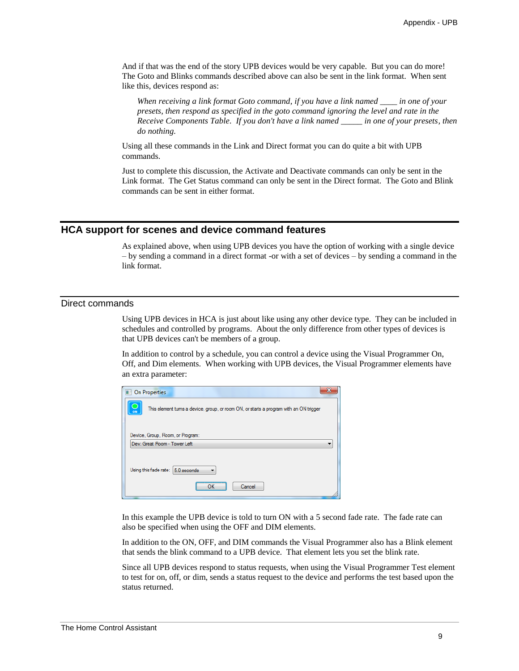And if that was the end of the story UPB devices would be very capable. But you can do more! The Goto and Blinks commands described above can also be sent in the link format. When sent like this, devices respond as:

*When receiving a link format Goto command, if you have a link named \_\_\_\_ in one of your presets, then respond as specified in the goto command ignoring the level and rate in the Receive Components Table. If you don't have a link named \_\_\_\_\_ in one of your presets, then do nothing.*

Using all these commands in the Link and Direct format you can do quite a bit with UPB commands.

Just to complete this discussion, the Activate and Deactivate commands can only be sent in the Link format. The Get Status command can only be sent in the Direct format. The Goto and Blink commands can be sent in either format.

#### **HCA support for scenes and device command features**

As explained above, when using UPB devices you have the option of working with a single device – by sending a command in a direct format -or with a set of devices – by sending a command in the link format.

#### Direct commands

Using UPB devices in HCA is just about like using any other device type. They can be included in schedules and controlled by programs. About the only difference from other types of devices is that UPB devices can't be members of a group.

In addition to control by a schedule, you can control a device using the Visual Programmer On, Off, and Dim elements. When working with UPB devices, the Visual Programmer elements have an extra parameter:

| 53<br><b>On Properties</b>                                                                  |
|---------------------------------------------------------------------------------------------|
| This element tums a device, group, or room ON, or starts a program with an ON trigger<br>ON |
| Device, Group, Room, or Program:                                                            |
| Dev: Great Room - Tower Left                                                                |
| Using this fade rate: 5.0 seconds<br>Cancel<br>                                             |

In this example the UPB device is told to turn ON with a 5 second fade rate. The fade rate can also be specified when using the OFF and DIM elements.

In addition to the ON, OFF, and DIM commands the Visual Programmer also has a Blink element that sends the blink command to a UPB device. That element lets you set the blink rate.

Since all UPB devices respond to status requests, when using the Visual Programmer Test element to test for on, off, or dim, sends a status request to the device and performs the test based upon the status returned.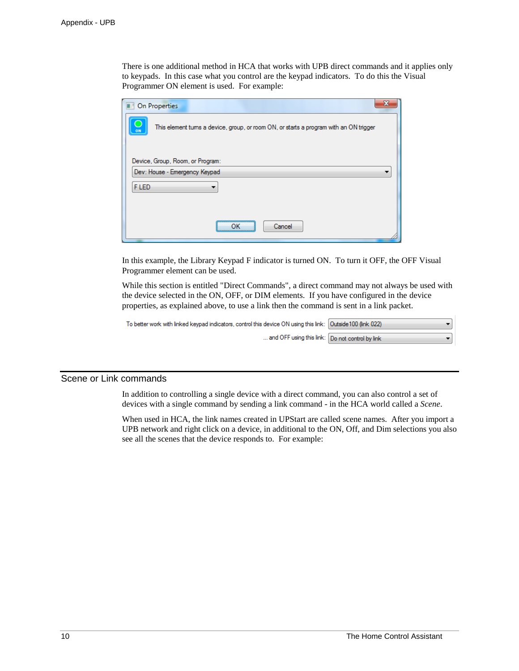There is one additional method in HCA that works with UPB direct commands and it applies only to keypads. In this case what you control are the keypad indicators. To do this the Visual Programmer ON element is used. For example:

| х<br><b>On Properties</b>                                                                   |
|---------------------------------------------------------------------------------------------|
| This element tums a device, group, or room ON, or starts a program with an ON trigger<br>ON |
| Device, Group, Room, or Program:<br>Dev: House - Emergency Keypad<br>▼                      |
| F LED                                                                                       |
| <br>Cancel                                                                                  |

In this example, the Library Keypad F indicator is turned ON. To turn it OFF, the OFF Visual Programmer element can be used.

While this section is entitled "Direct Commands", a direct command may not always be used with the device selected in the ON, OFF, or DIM elements. If you have configured in the device properties, as explained above, to use a link then the command is sent in a link packet.

| To better work with linked keypad indicators, control this device ON using this link:   Outside 100 (link 022) |  |
|----------------------------------------------------------------------------------------------------------------|--|
| and OFF using this link: Do not control by link                                                                |  |

# Scene or Link commands

In addition to controlling a single device with a direct command, you can also control a set of devices with a single command by sending a link command - in the HCA world called a *Scene*.

When used in HCA, the link names created in UPStart are called scene names. After you import a UPB network and right click on a device, in additional to the ON, Off, and Dim selections you also see all the scenes that the device responds to. For example: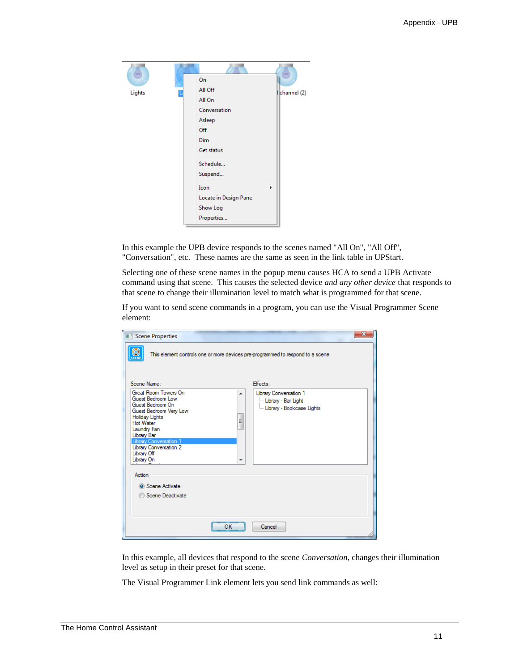| $\rightarrow$ |                       |             |
|---------------|-----------------------|-------------|
|               | On                    |             |
| Lights        | All Off               | channel (2) |
|               | All On                |             |
|               | Conversation          |             |
|               | Asleep                |             |
|               | Off                   |             |
|               | <b>Dim</b>            |             |
|               | Get status            |             |
|               | Schedule              |             |
|               | Suspend               |             |
|               | Icon                  | ь           |
|               | Locate in Design Pane |             |
|               | Show Log              |             |
|               | Properties            |             |

In this example the UPB device responds to the scenes named "All On", "All Off", "Conversation", etc. These names are the same as seen in the link table in UPStart.

Selecting one of these scene names in the popup menu causes HCA to send a UPB Activate command using that scene. This causes the selected device *and any other device* that responds to that scene to change their illumination level to match what is programmed for that scene.

If you want to send scene commands in a program, you can use the Visual Programmer Scene element:

| Scene Properties                                                                                                                                                                                                                                                     |        |                                                                                | $\mathbf{x}$ |
|----------------------------------------------------------------------------------------------------------------------------------------------------------------------------------------------------------------------------------------------------------------------|--------|--------------------------------------------------------------------------------|--------------|
|                                                                                                                                                                                                                                                                      |        | This element controls one or more devices pre-programmed to respond to a scene |              |
| Scene Name:                                                                                                                                                                                                                                                          |        | Effects:                                                                       |              |
| Great Room Towers On<br>Guest Bedroom Low<br>Guest Bedroom On<br>Guest Bedroom Very Low<br>Holiday Lights<br><b>Hot Water</b><br>Laundry Fan<br>Library Bar<br><b>Library Conversation 1</b><br><b>Library Conversation 2</b><br>Library Off<br>Library On<br>Action | ▲<br>Ξ | Library Conversation 1<br>- Library - Bar Light<br>Library - Bookcase Lights   |              |
|                                                                                                                                                                                                                                                                      |        |                                                                                |              |
| Scene Activate<br>Scene Deactivate                                                                                                                                                                                                                                   |        |                                                                                |              |
|                                                                                                                                                                                                                                                                      | ок     | Cancel                                                                         |              |

In this example, all devices that respond to the scene *Conversation*, changes their illumination level as setup in their preset for that scene.

The Visual Programmer Link element lets you send link commands as well: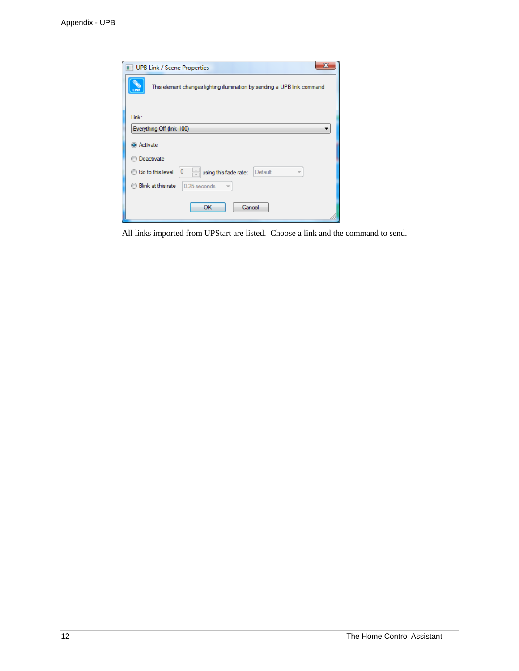| <b>UPB Link / Scene Properties</b>                                                            |
|-----------------------------------------------------------------------------------------------|
| This element changes lighting illumination by sending a UPB link command<br>LINK              |
| Link:                                                                                         |
| Everything Off (link 100)                                                                     |
| <b>O</b> Activate                                                                             |
| Deactivate                                                                                    |
| $\frac{1}{\sqrt{2}}$<br>0<br><b>Go to this level</b><br>Default<br>using this fade rate:<br>v |
| Blink at this rate<br>0.25 seconds                                                            |
| OK<br>Cancel                                                                                  |

All links imported from UPStart are listed. Choose a link and the command to send.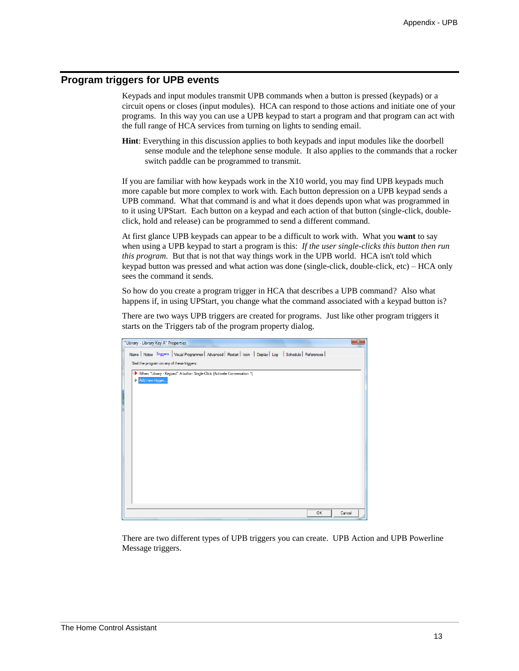# **Program triggers for UPB events**

Keypads and input modules transmit UPB commands when a button is pressed (keypads) or a circuit opens or closes (input modules). HCA can respond to those actions and initiate one of your programs. In this way you can use a UPB keypad to start a program and that program can act with the full range of HCA services from turning on lights to sending email.

**Hint**: Everything in this discussion applies to both keypads and input modules like the doorbell sense module and the telephone sense module. It also applies to the commands that a rocker switch paddle can be programmed to transmit.

If you are familiar with how keypads work in the X10 world, you may find UPB keypads much more capable but more complex to work with. Each button depression on a UPB keypad sends a UPB command. What that command is and what it does depends upon what was programmed in to it using UPStart. Each button on a keypad and each action of that button (single-click, doubleclick, hold and release) can be programmed to send a different command.

At first glance UPB keypads can appear to be a difficult to work with. What you **want** to say when using a UPB keypad to start a program is this: *If the user single-clicks this button then run this program.* But that is not that way things work in the UPB world. HCA isn't told which keypad button was pressed and what action was done (single-click, double-click, etc) – HCA only sees the command it sends.

So how do you create a program trigger in HCA that describes a UPB command? Also what happens if, in using UPStart, you change what the command associated with a keypad button is?

There are two ways UPB triggers are created for programs. Just like other program triggers it starts on the Triggers tab of the program property dialog.

| "Library - Library Key A" Properties                                                                          | $\overline{\mathbf{x}}$ |
|---------------------------------------------------------------------------------------------------------------|-------------------------|
| Name   Notes Triggers   Visual Programmer   Advanced   Restart   Icon   Display   Log   Schedule   References |                         |
| Start the program on any of these triggers:                                                                   |                         |
| When "Library - Keypad" A button Single-Click (Activate Conversation 1)                                       |                         |
| Add new trigger                                                                                               |                         |
|                                                                                                               |                         |
|                                                                                                               |                         |
|                                                                                                               |                         |
|                                                                                                               |                         |
|                                                                                                               |                         |
|                                                                                                               |                         |
|                                                                                                               |                         |
|                                                                                                               |                         |
|                                                                                                               |                         |
|                                                                                                               |                         |
|                                                                                                               |                         |
|                                                                                                               |                         |
|                                                                                                               |                         |
|                                                                                                               | Cancel<br>OK            |

There are two different types of UPB triggers you can create. UPB Action and UPB Powerline Message triggers.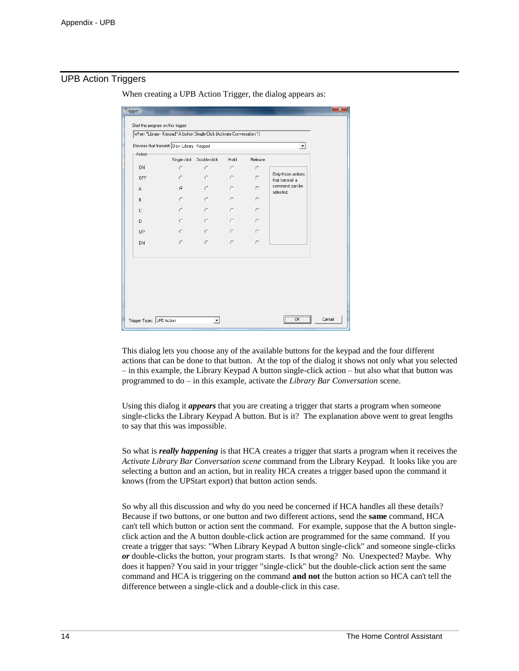# UPB Action Triggers

| Devices that transmit Dev: Library - Keypad<br>Action |              |              |           |           |                                       |
|-------------------------------------------------------|--------------|--------------|-----------|-----------|---------------------------------------|
|                                                       | Single-click | Double-click | Hold      | Release   |                                       |
|                                                       | O.           | $\circ$      | $\circ$   | $\bigcap$ |                                       |
|                                                       | $\subset$    | $\circ$      | $\circ$   | O         | Only those actions<br>that transmit a |
|                                                       | $\sigma$     | $\circ$      | $\circ$   | C         | command can be<br>selected.           |
|                                                       | $\circ$      | $\circ$      | $\circ$   | $\subset$ |                                       |
|                                                       | $\circ$      | $\circ$      | $\circ$   | $\circ$   |                                       |
|                                                       | O.           | $\circ$      | $\circ$   | $\subset$ |                                       |
| UP                                                    | C            | $\circ$      | $\subset$ | $\subset$ |                                       |
|                                                       | $\subset$    | $\circ$      | $\circ$   | $\subset$ |                                       |
|                                                       |              |              |           |           |                                       |

When creating a UPB Action Trigger, the dialog appears as:

This dialog lets you choose any of the available buttons for the keypad and the four different actions that can be done to that button. At the top of the dialog it shows not only what you selected – in this example, the Library Keypad A button single-click action – but also what that button was programmed to do – in this example, activate the *Library Bar Conversation* scene.

Using this dialog it *appears* that you are creating a trigger that starts a program when someone single-clicks the Library Keypad A button. But is it? The explanation above went to great lengths to say that this was impossible.

So what is *really happening* is that HCA creates a trigger that starts a program when it receives the *Activate Library Bar Conversation scene* command from the Library Keypad. It looks like you are selecting a button and an action, but in reality HCA creates a trigger based upon the command it knows (from the UPStart export) that button action sends.

So why all this discussion and why do you need be concerned if HCA handles all these details? Because if two buttons, or one button and two different actions, send the **same** command, HCA can't tell which button or action sent the command. For example, suppose that the A button singleclick action and the A button double-click action are programmed for the same command. If you create a trigger that says: "When Library Keypad A button single-click" and someone single-clicks *or* double-clicks the button, your program starts. Is that wrong? No. Unexpected? Maybe. Why does it happen? You said in your trigger "single-click" but the double-click action sent the same command and HCA is triggering on the command **and not** the button action so HCA can't tell the difference between a single-click and a double-click in this case.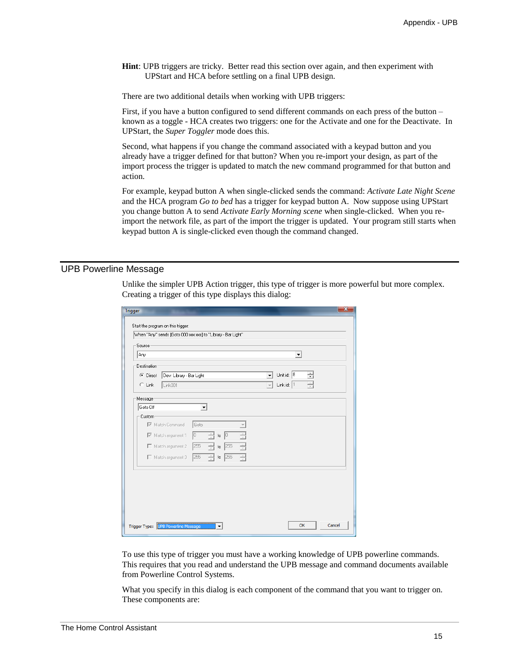**Hint**: UPB triggers are tricky. Better read this section over again, and then experiment with UPStart and HCA before settling on a final UPB design.

There are two additional details when working with UPB triggers:

First, if you have a button configured to send different commands on each press of the button – known as a toggle - HCA creates two triggers: one for the Activate and one for the Deactivate. In UPStart, the *Super Toggler* mode does this.

Second, what happens if you change the command associated with a keypad button and you already have a trigger defined for that button? When you re-import your design, as part of the import process the trigger is updated to match the new command programmed for that button and action.

For example, keypad button A when single-clicked sends the command: *Activate Late Night Scene* and the HCA program *Go to bed* has a trigger for keypad button A. Now suppose using UPStart you change button A to send *Activate Early Morning scene* when single-clicked. When you reimport the network file, as part of the import the trigger is updated. Your program still starts when keypad button A is single-clicked even though the command changed.

# UPB Powerline Message

Unlike the simpler UPB Action trigger, this type of trigger is more powerful but more complex. Creating a trigger of this type displays this dialog:

| Start the program on this trigger:<br>When "Any" sends [Goto 000 xxx xxx] to "Library - Bar Light"<br>Source<br>Any<br>$\blacktriangledown$<br>Destination<br>Unit id: 8<br>÷<br>C Direct<br>Dev: Library - Bar Light<br>٠<br>Link id: $ 1$<br>$C$ Link<br>Link001<br>Message<br>Goto Off<br>Custom<br>Match Command<br>Goto<br>$\overline{\triangledown}$ Match argument 1<br>lo.<br> 0 <br>÷<br>to<br>255<br>€<br>Match argument 2<br>255<br>÷<br>to<br>255<br>싂<br>255<br>Match argument 3<br>to |  |
|-----------------------------------------------------------------------------------------------------------------------------------------------------------------------------------------------------------------------------------------------------------------------------------------------------------------------------------------------------------------------------------------------------------------------------------------------------------------------------------------------------|--|
|                                                                                                                                                                                                                                                                                                                                                                                                                                                                                                     |  |
|                                                                                                                                                                                                                                                                                                                                                                                                                                                                                                     |  |
|                                                                                                                                                                                                                                                                                                                                                                                                                                                                                                     |  |
|                                                                                                                                                                                                                                                                                                                                                                                                                                                                                                     |  |
|                                                                                                                                                                                                                                                                                                                                                                                                                                                                                                     |  |
|                                                                                                                                                                                                                                                                                                                                                                                                                                                                                                     |  |
|                                                                                                                                                                                                                                                                                                                                                                                                                                                                                                     |  |
|                                                                                                                                                                                                                                                                                                                                                                                                                                                                                                     |  |
|                                                                                                                                                                                                                                                                                                                                                                                                                                                                                                     |  |
|                                                                                                                                                                                                                                                                                                                                                                                                                                                                                                     |  |
|                                                                                                                                                                                                                                                                                                                                                                                                                                                                                                     |  |
|                                                                                                                                                                                                                                                                                                                                                                                                                                                                                                     |  |
|                                                                                                                                                                                                                                                                                                                                                                                                                                                                                                     |  |
|                                                                                                                                                                                                                                                                                                                                                                                                                                                                                                     |  |
|                                                                                                                                                                                                                                                                                                                                                                                                                                                                                                     |  |
|                                                                                                                                                                                                                                                                                                                                                                                                                                                                                                     |  |
|                                                                                                                                                                                                                                                                                                                                                                                                                                                                                                     |  |
|                                                                                                                                                                                                                                                                                                                                                                                                                                                                                                     |  |
|                                                                                                                                                                                                                                                                                                                                                                                                                                                                                                     |  |
|                                                                                                                                                                                                                                                                                                                                                                                                                                                                                                     |  |
|                                                                                                                                                                                                                                                                                                                                                                                                                                                                                                     |  |
|                                                                                                                                                                                                                                                                                                                                                                                                                                                                                                     |  |
| Cancel<br>OK<br><b>UPB Powerline Message</b><br>Trigger Type:                                                                                                                                                                                                                                                                                                                                                                                                                                       |  |

To use this type of trigger you must have a working knowledge of UPB powerline commands. This requires that you read and understand the UPB message and command documents available from Powerline Control Systems.

What you specify in this dialog is each component of the command that you want to trigger on. These components are: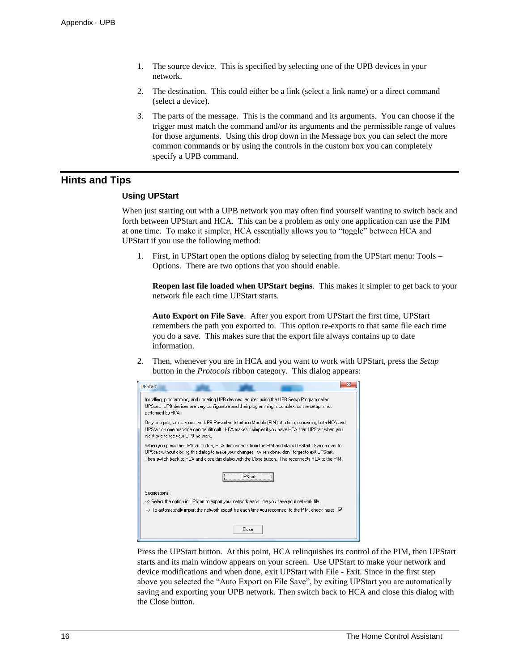- 1. The source device. This is specified by selecting one of the UPB devices in your network.
- 2. The destination. This could either be a link (select a link name) or a direct command (select a device).
- 3. The parts of the message. This is the command and its arguments. You can choose if the trigger must match the command and/or its arguments and the permissible range of values for those arguments. Using this drop down in the Message box you can select the more common commands or by using the controls in the custom box you can completely specify a UPB command.

# **Hints and Tips**

#### **Using UPStart**

When just starting out with a UPB network you may often find yourself wanting to switch back and forth between UPStart and HCA. This can be a problem as only one application can use the PIM at one time. To make it simpler, HCA essentially allows you to "toggle" between HCA and UPStart if you use the following method:

1. First, in UPStart open the options dialog by selecting from the UPStart menu: Tools – Options. There are two options that you should enable.

**Reopen last file loaded when UPStart begins**. This makes it simpler to get back to your network file each time UPStart starts.

**Auto Export on File Save**. After you export from UPStart the first time, UPStart remembers the path you exported to. This option re-exports to that same file each time you do a save. This makes sure that the export file always contains up to date information.

2. Then, whenever you are in HCA and you want to work with UPStart, press the *Setup* button in the *Protocols* ribbon category. This dialog appears:



Press the UPStart button. At this point, HCA relinquishes its control of the PIM, then UPStart starts and its main window appears on your screen. Use UPStart to make your network and device modifications and when done, exit UPStart with File - Exit. Since in the first step above you selected the "Auto Export on File Save", by exiting UPStart you are automatically saving and exporting your UPB network. Then switch back to HCA and close this dialog with the Close button.